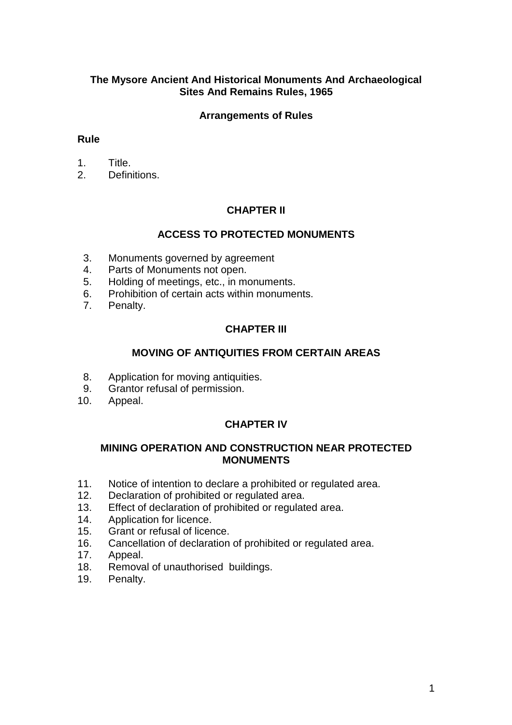### **The Mysore Ancient And Historical Monuments And Archaeological Sites And Remains Rules, 1965**

### **Arrangements of Rules**

#### **Rule**

- 1. Title.
- 2. Definitions.

## **CHAPTER II**

#### **ACCESS TO PROTECTED MONUMENTS**

- 3. Monuments governed by agreement
- 4. Parts of Monuments not open.
- 5. Holding of meetings, etc., in monuments.
- 6. Prohibition of certain acts within monuments.
- 7. Penalty.

## **CHAPTER III**

#### **MOVING OF ANTIQUITIES FROM CERTAIN AREAS**

- 8. Application for moving antiquities.
- 9. Grantor refusal of permission.
- 10. Appeal.

#### **CHAPTER IV**

#### **MINING OPERATION AND CONSTRUCTION NEAR PROTECTED MONUMENTS**

- 11. Notice of intention to declare a prohibited or regulated area.
- 12. Declaration of prohibited or regulated area.
- 13. Effect of declaration of prohibited or regulated area.
- 14. Application for licence.
- 15. Grant or refusal of licence.
- 16. Cancellation of declaration of prohibited or regulated area.
- 17. Appeal.
- 18. Removal of unauthorised buildings.
- 19. Penalty.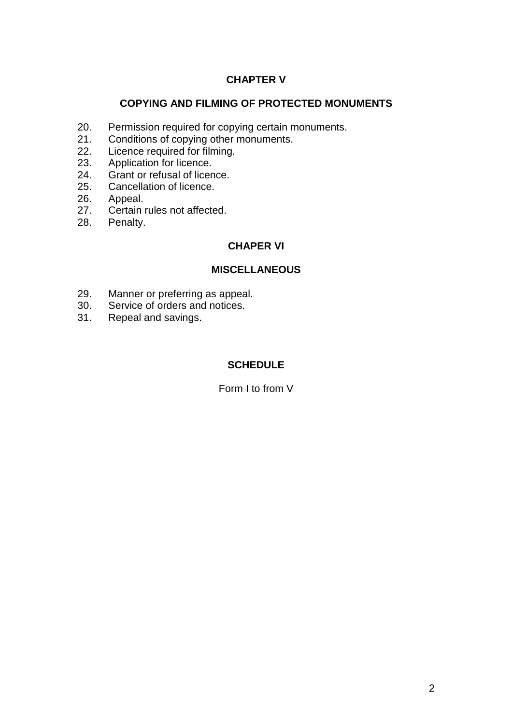# **CHAPTER V**

## **COPYING AND FILMING OF PROTECTED MONUMENTS**

- 20. Permission required for copying certain monuments.
- 21. Conditions of copying other monuments.
- 22. Licence required for filming.
- 23. Application for licence.
- 24. Grant or refusal of licence.
- 25. Cancellation of licence.
- 26. Appeal.
- 27. Certain rules not affected.
- 28. Penalty.

# **CHAPER VI**

# **MISCELLANEOUS**

- 29. Manner or preferring as appeal.
- 30. Service of orders and notices.
- 31. Repeal and savings.

# **SCHEDULE**

Form I to from V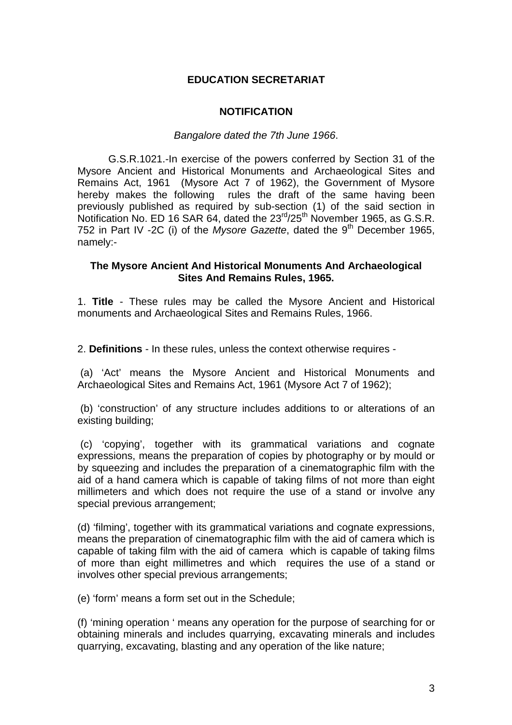### **EDUCATION SECRETARIAT**

#### **NOTIFICATION**

#### *Bangalore dated the 7th June 1966*.

G.S.R.1021.-In exercise of the powers conferred by Section 31 of the Mysore Ancient and Historical Monuments and Archaeological Sites and Remains Act, 1961 (Mysore Act 7 of 1962), the Government of Mysore hereby makes the following rules the draft of the same having been previously published as required by sub-section (1) of the said section in Notification No. ED 16 SAR 64, dated the  $23<sup>rd</sup>/25<sup>th</sup>$  November 1965, as G.S.R. 752 in Part IV -2C (i) of the Mysore Gazette, dated the 9<sup>th</sup> December 1965, namely:-

#### **The Mysore Ancient And Historical Monuments And Archaeological Sites And Remains Rules, 1965.**

1. **Title** - These rules may be called the Mysore Ancient and Historical monuments and Archaeological Sites and Remains Rules, 1966.

2. **Definitions** - In these rules, unless the context otherwise requires -

(a) 'Act' means the Mysore Ancient and Historical Monuments and Archaeological Sites and Remains Act, 1961 (Mysore Act 7 of 1962);

(b) 'construction' of any structure includes additions to or alterations of an existing building;

(c) 'copying', together with its grammatical variations and cognate expressions, means the preparation of copies by photography or by mould or by squeezing and includes the preparation of a cinematographic film with the aid of a hand camera which is capable of taking films of not more than eight millimeters and which does not require the use of a stand or involve any special previous arrangement;

(d) 'filming', together with its grammatical variations and cognate expressions, means the preparation of cinematographic film with the aid of camera which is capable of taking film with the aid of camera which is capable of taking films of more than eight millimetres and which requires the use of a stand or involves other special previous arrangements;

(e) 'form' means a form set out in the Schedule;

(f) 'mining operation ' means any operation for the purpose of searching for or obtaining minerals and includes quarrying, excavating minerals and includes quarrying, excavating, blasting and any operation of the like nature;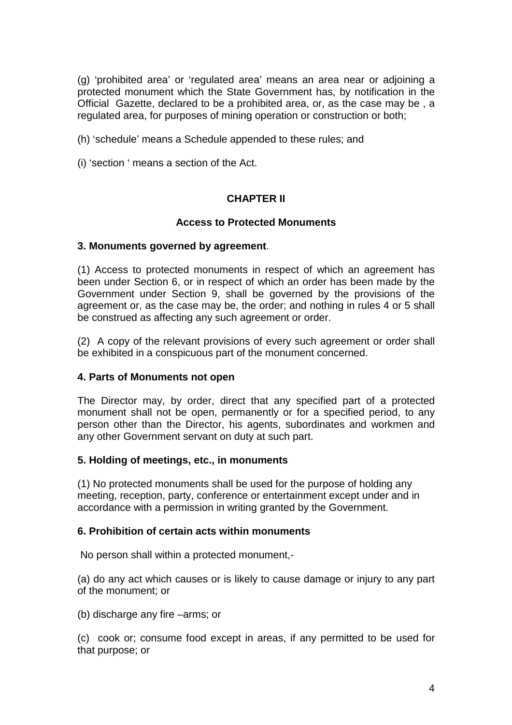(g) 'prohibited area' or 'regulated area' means an area near or adjoining a protected monument which the State Government has, by notification in the Official Gazette, declared to be a prohibited area, or, as the case may be , a regulated area, for purposes of mining operation or construction or both;

- (h) 'schedule' means a Schedule appended to these rules; and
- (i) 'section ' means a section of the Act.

## **CHAPTER II**

#### **Access to Protected Monuments**

#### **3. Monuments governed by agreement**.

(1) Access to protected monuments in respect of which an agreement has been under Section 6, or in respect of which an order has been made by the Government under Section 9, shall be governed by the provisions of the agreement or, as the case may be, the order; and nothing in rules 4 or 5 shall be construed as affecting any such agreement or order.

(2) A copy of the relevant provisions of every such agreement or order shall be exhibited in a conspicuous part of the monument concerned.

#### **4. Parts of Monuments not open**

The Director may, by order, direct that any specified part of a protected monument shall not be open, permanently or for a specified period, to any person other than the Director, his agents, subordinates and workmen and any other Government servant on duty at such part.

#### **5. Holding of meetings, etc., in monuments**

(1) No protected monuments shall be used for the purpose of holding any meeting, reception, party, conference or entertainment except under and in accordance with a permission in writing granted by the Government.

#### **6. Prohibition of certain acts within monuments**

No person shall within a protected monument,-

(a) do any act which causes or is likely to cause damage or injury to any part of the monument; or

(b) discharge any fire –arms; or

(c) cook or; consume food except in areas, if any permitted to be used for that purpose; or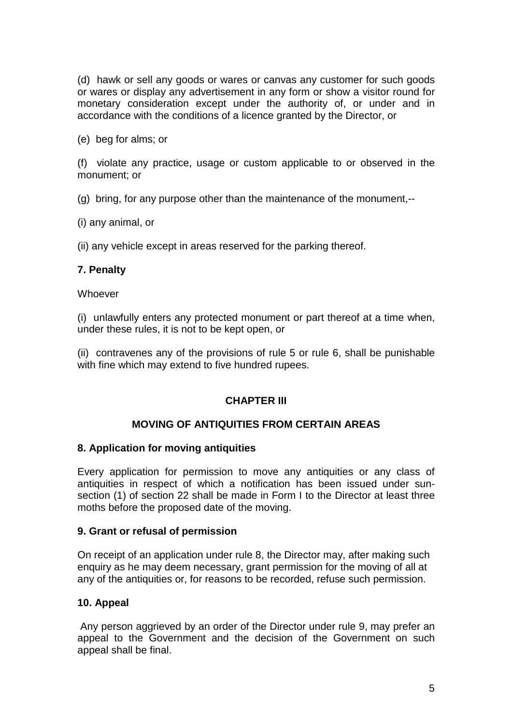(d) hawk or sell any goods or wares or canvas any customer for such goods or wares or display any advertisement in any form or show a visitor round for monetary consideration except under the authority of, or under and in accordance with the conditions of a licence granted by the Director, or

(e) beg for alms; or

(f) violate any practice, usage or custom applicable to or observed in the monument; or

(g) bring, for any purpose other than the maintenance of the monument,--

(i) any animal, or

(ii) any vehicle except in areas reserved for the parking thereof.

#### **7. Penalty**

**Whoever** 

(i) unlawfully enters any protected monument or part thereof at a time when, under these rules, it is not to be kept open, or

(ii) contravenes any of the provisions of rule 5 or rule 6, shall be punishable with fine which may extend to five hundred rupees.

#### **CHAPTER III**

#### **MOVING OF ANTIQUITIES FROM CERTAIN AREAS**

#### **8. Application for moving antiquities**

Every application for permission to move any antiquities or any class of antiquities in respect of which a notification has been issued under sunsection (1) of section 22 shall be made in Form I to the Director at least three moths before the proposed date of the moving.

#### **9. Grant or refusal of permission**

On receipt of an application under rule 8, the Director may, after making such enquiry as he may deem necessary, grant permission for the moving of all at any of the antiquities or, for reasons to be recorded, refuse such permission.

#### **10. Appeal**

Any person aggrieved by an order of the Director under rule 9, may prefer an appeal to the Government and the decision of the Government on such appeal shall be final.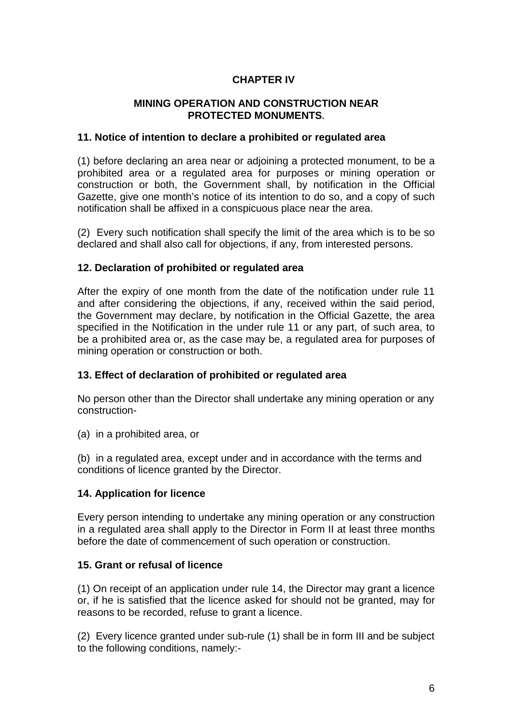# **CHAPTER IV**

### **MINING OPERATION AND CONSTRUCTION NEAR PROTECTED MONUMENTS.**

#### **11. Notice of intention to declare a prohibited or regulated area**

(1) before declaring an area near or adjoining a protected monument, to be a prohibited area or a regulated area for purposes or mining operation or construction or both, the Government shall, by notification in the Official Gazette, give one month's notice of its intention to do so, and a copy of such notification shall be affixed in a conspicuous place near the area.

(2) Every such notification shall specify the limit of the area which is to be so declared and shall also call for objections, if any, from interested persons.

#### **12. Declaration of prohibited or regulated area**

After the expiry of one month from the date of the notification under rule 11 and after considering the objections, if any, received within the said period, the Government may declare, by notification in the Official Gazette, the area specified in the Notification in the under rule 11 or any part, of such area, to be a prohibited area or, as the case may be, a regulated area for purposes of mining operation or construction or both.

#### **13. Effect of declaration of prohibited or regulated area**

No person other than the Director shall undertake any mining operation or any construction-

(a) in a prohibited area, or

(b) in a regulated area, except under and in accordance with the terms and conditions of licence granted by the Director.

#### **14. Application for licence**

Every person intending to undertake any mining operation or any construction in a regulated area shall apply to the Director in Form II at least three months before the date of commencement of such operation or construction.

#### **15. Grant or refusal of licence**

(1) On receipt of an application under rule 14, the Director may grant a licence or, if he is satisfied that the licence asked for should not be granted, may for reasons to be recorded, refuse to grant a licence.

(2) Every licence granted under sub-rule (1) shall be in form III and be subject to the following conditions, namely:-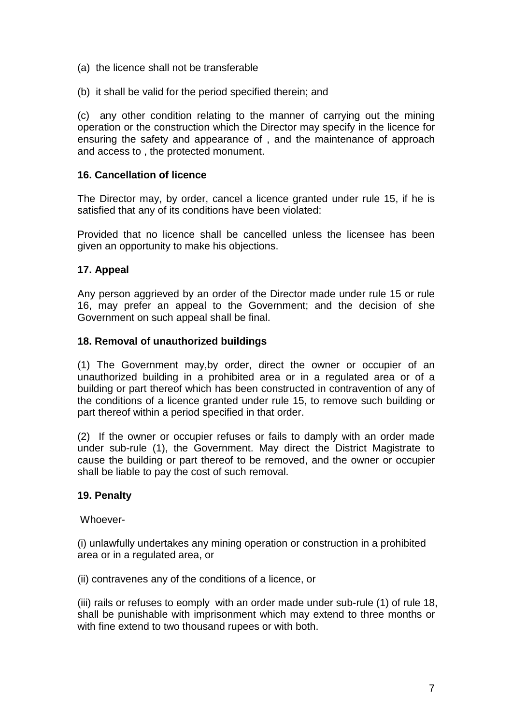- (a) the licence shall not be transferable
- (b) it shall be valid for the period specified therein; and

(c) any other condition relating to the manner of carrying out the mining operation or the construction which the Director may specify in the licence for ensuring the safety and appearance of , and the maintenance of approach and access to , the protected monument.

### **16. Cancellation of licence**

The Director may, by order, cancel a licence granted under rule 15, if he is satisfied that any of its conditions have been violated:

Provided that no licence shall be cancelled unless the licensee has been given an opportunity to make his objections.

## **17. Appeal**

Any person aggrieved by an order of the Director made under rule 15 or rule 16, may prefer an appeal to the Government; and the decision of she Government on such appeal shall be final.

#### **18. Removal of unauthorized buildings**

(1) The Government may,by order, direct the owner or occupier of an unauthorized building in a prohibited area or in a regulated area or of a building or part thereof which has been constructed in contravention of any of the conditions of a licence granted under rule 15, to remove such building or part thereof within a period specified in that order.

(2) If the owner or occupier refuses or fails to damply with an order made under sub-rule (1), the Government. May direct the District Magistrate to cause the building or part thereof to be removed, and the owner or occupier shall be liable to pay the cost of such removal.

#### **19. Penalty**

Whoever-

(i) unlawfully undertakes any mining operation or construction in a prohibited area or in a regulated area, or

(ii) contravenes any of the conditions of a licence, or

(iii) rails or refuses to eomply with an order made under sub-rule (1) of rule 18, shall be punishable with imprisonment which may extend to three months or with fine extend to two thousand rupees or with both.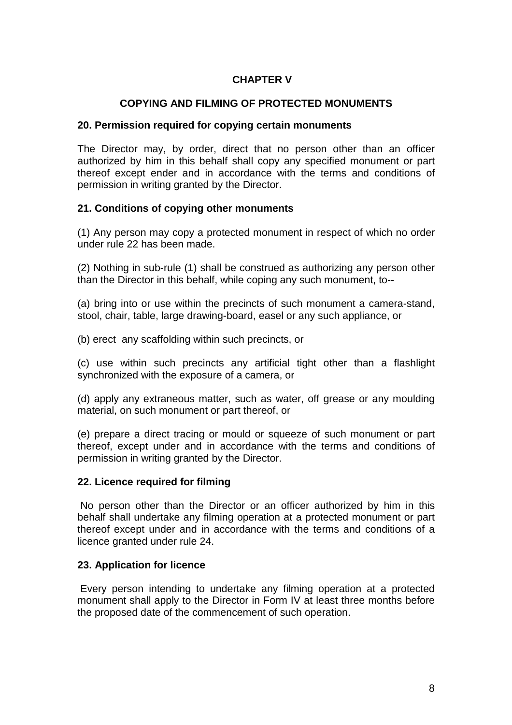## **CHAPTER V**

## **COPYING AND FILMING OF PROTECTED MONUMENTS**

#### **20. Permission required for copying certain monuments**

The Director may, by order, direct that no person other than an officer authorized by him in this behalf shall copy any specified monument or part thereof except ender and in accordance with the terms and conditions of permission in writing granted by the Director.

#### **21. Conditions of copying other monuments**

(1) Any person may copy a protected monument in respect of which no order under rule 22 has been made.

(2) Nothing in sub-rule (1) shall be construed as authorizing any person other than the Director in this behalf, while coping any such monument, to--

(a) bring into or use within the precincts of such monument a camera-stand, stool, chair, table, large drawing-board, easel or any such appliance, or

(b) erect any scaffolding within such precincts, or

(c) use within such precincts any artificial tight other than a flashlight synchronized with the exposure of a camera, or

(d) apply any extraneous matter, such as water, off grease or any moulding material, on such monument or part thereof, or

(e) prepare a direct tracing or mould or squeeze of such monument or part thereof, except under and in accordance with the terms and conditions of permission in writing granted by the Director.

#### **22. Licence required for filming**

No person other than the Director or an officer authorized by him in this behalf shall undertake any filming operation at a protected monument or part thereof except under and in accordance with the terms and conditions of a licence granted under rule 24.

#### **23. Application for licence**

Every person intending to undertake any filming operation at a protected monument shall apply to the Director in Form IV at least three months before the proposed date of the commencement of such operation.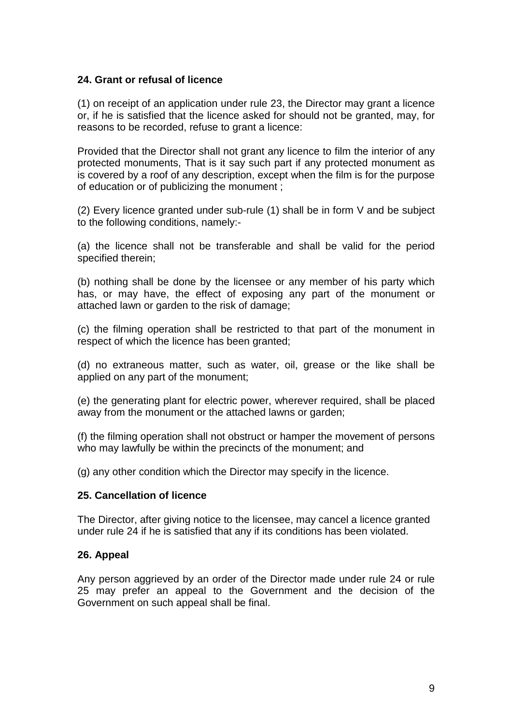#### **24. Grant or refusal of licence**

(1) on receipt of an application under rule 23, the Director may grant a licence or, if he is satisfied that the licence asked for should not be granted, may, for reasons to be recorded, refuse to grant a licence:

Provided that the Director shall not grant any licence to film the interior of any protected monuments, That is it say such part if any protected monument as is covered by a roof of any description, except when the film is for the purpose of education or of publicizing the monument ;

(2) Every licence granted under sub-rule (1) shall be in form V and be subject to the following conditions, namely:-

(a) the licence shall not be transferable and shall be valid for the period specified therein;

(b) nothing shall be done by the licensee or any member of his party which has, or may have, the effect of exposing any part of the monument or attached lawn or garden to the risk of damage;

(c) the filming operation shall be restricted to that part of the monument in respect of which the licence has been granted;

(d) no extraneous matter, such as water, oil, grease or the like shall be applied on any part of the monument;

(e) the generating plant for electric power, wherever required, shall be placed away from the monument or the attached lawns or garden;

(f) the filming operation shall not obstruct or hamper the movement of persons who may lawfully be within the precincts of the monument; and

(g) any other condition which the Director may specify in the licence.

#### **25. Cancellation of licence**

The Director, after giving notice to the licensee, may cancel a licence granted under rule 24 if he is satisfied that any if its conditions has been violated.

#### **26. Appeal**

Any person aggrieved by an order of the Director made under rule 24 or rule 25 may prefer an appeal to the Government and the decision of the Government on such appeal shall be final.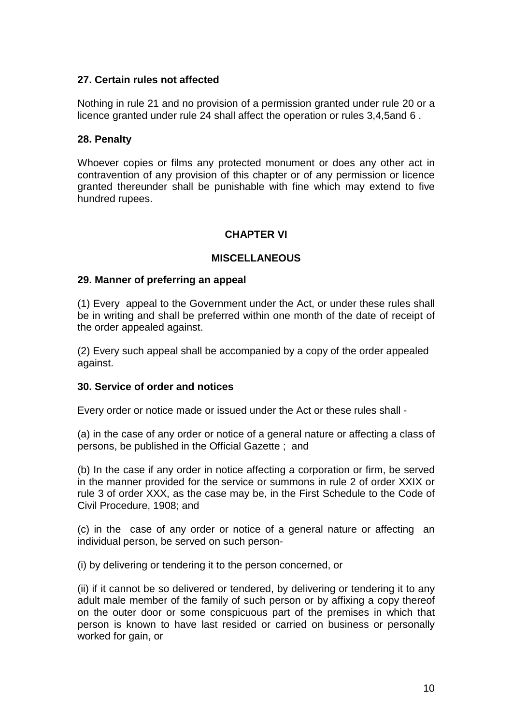### **27. Certain rules not affected**

Nothing in rule 21 and no provision of a permission granted under rule 20 or a licence granted under rule 24 shall affect the operation or rules 3,4,5and 6 .

### **28. Penalty**

Whoever copies or films any protected monument or does any other act in contravention of any provision of this chapter or of any permission or licence granted thereunder shall be punishable with fine which may extend to five hundred rupees.

## **CHAPTER VI**

#### **MISCELLANEOUS**

#### **29. Manner of preferring an appeal**

(1) Every appeal to the Government under the Act, or under these rules shall be in writing and shall be preferred within one month of the date of receipt of the order appealed against.

(2) Every such appeal shall be accompanied by a copy of the order appealed against.

#### **30. Service of order and notices**

Every order or notice made or issued under the Act or these rules shall -

(a) in the case of any order or notice of a general nature or affecting a class of persons, be published in the Official Gazette ; and

(b) In the case if any order in notice affecting a corporation or firm, be served in the manner provided for the service or summons in rule 2 of order XXIX or rule 3 of order XXX, as the case may be, in the First Schedule to the Code of Civil Procedure, 1908; and

(c) in the case of any order or notice of a general nature or affecting an individual person, be served on such person-

(i) by delivering or tendering it to the person concerned, or

(ii) if it cannot be so delivered or tendered, by delivering or tendering it to any adult male member of the family of such person or by affixing a copy thereof on the outer door or some conspicuous part of the premises in which that person is known to have last resided or carried on business or personally worked for gain, or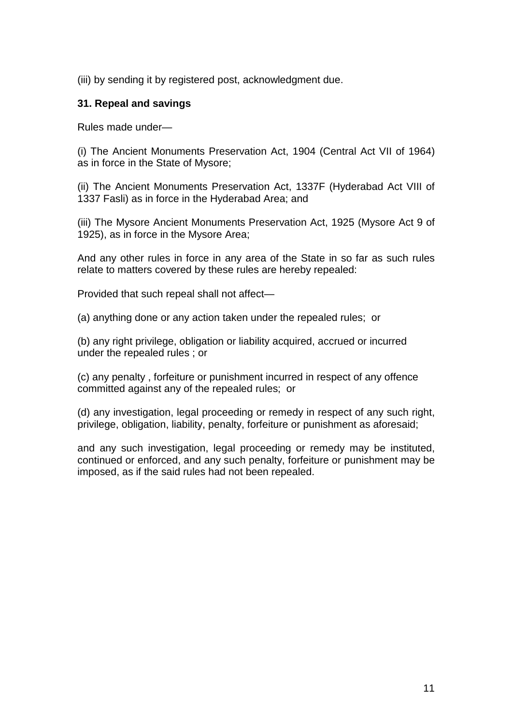(iii) by sending it by registered post, acknowledgment due.

#### **31. Repeal and savings**

Rules made under—

(i) The Ancient Monuments Preservation Act, 1904 (Central Act VII of 1964) as in force in the State of Mysore;

(ii) The Ancient Monuments Preservation Act, 1337F (Hyderabad Act VIII of 1337 Fasli) as in force in the Hyderabad Area; and

(iii) The Mysore Ancient Monuments Preservation Act, 1925 (Mysore Act 9 of 1925), as in force in the Mysore Area;

And any other rules in force in any area of the State in so far as such rules relate to matters covered by these rules are hereby repealed:

Provided that such repeal shall not affect—

(a) anything done or any action taken under the repealed rules; or

(b) any right privilege, obligation or liability acquired, accrued or incurred under the repealed rules ; or

(c) any penalty , forfeiture or punishment incurred in respect of any offence committed against any of the repealed rules; or

(d) any investigation, legal proceeding or remedy in respect of any such right, privilege, obligation, liability, penalty, forfeiture or punishment as aforesaid;

and any such investigation, legal proceeding or remedy may be instituted, continued or enforced, and any such penalty, forfeiture or punishment may be imposed, as if the said rules had not been repealed.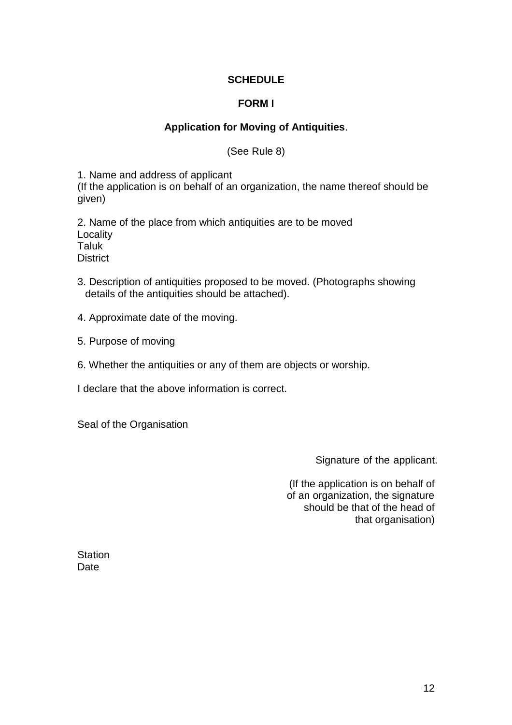## **SCHEDULE**

## **FORM I**

# **Application for Moving of Antiquities**.

(See Rule 8)

1. Name and address of applicant

(If the application is on behalf of an organization, the name thereof should be given)

2. Name of the place from which antiquities are to be moved **Locality Taluk District** 

- 3. Description of antiquities proposed to be moved. (Photographs showing details of the antiquities should be attached).
- 4. Approximate date of the moving.
- 5. Purpose of moving
- 6. Whether the antiquities or any of them are objects or worship.

I declare that the above information is correct.

Seal of the Organisation

Signature of the applicant.

(If the application is on behalf of of an organization, the signature should be that of the head of that organisation)

**Station** Date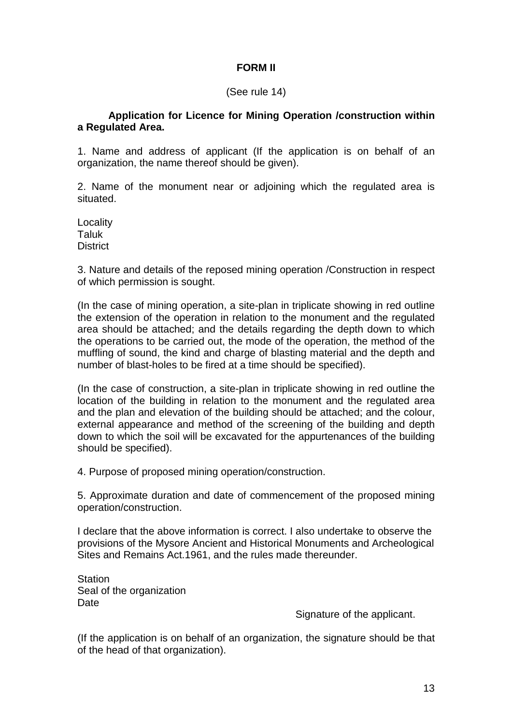## **FORM II**

#### (See rule 14)

### **Application for Licence for Mining Operation /construction within a Regulated Area.**

1. Name and address of applicant (If the application is on behalf of an organization, the name thereof should be given).

2. Name of the monument near or adjoining which the regulated area is situated.

Locality Taluk **District** 

3. Nature and details of the reposed mining operation /Construction in respect of which permission is sought.

(In the case of mining operation, a site-plan in triplicate showing in red outline the extension of the operation in relation to the monument and the regulated area should be attached; and the details regarding the depth down to which the operations to be carried out, the mode of the operation, the method of the muffling of sound, the kind and charge of blasting material and the depth and number of blast-holes to be fired at a time should be specified).

(In the case of construction, a site-plan in triplicate showing in red outline the location of the building in relation to the monument and the regulated area and the plan and elevation of the building should be attached; and the colour, external appearance and method of the screening of the building and depth down to which the soil will be excavated for the appurtenances of the building should be specified).

4. Purpose of proposed mining operation/construction.

5. Approximate duration and date of commencement of the proposed mining operation/construction.

I declare that the above information is correct. I also undertake to observe the provisions of the Mysore Ancient and Historical Monuments and Archeological Sites and Remains Act.1961, and the rules made thereunder.

**Station** Seal of the organization Date

Signature of the applicant.

(If the application is on behalf of an organization, the signature should be that of the head of that organization).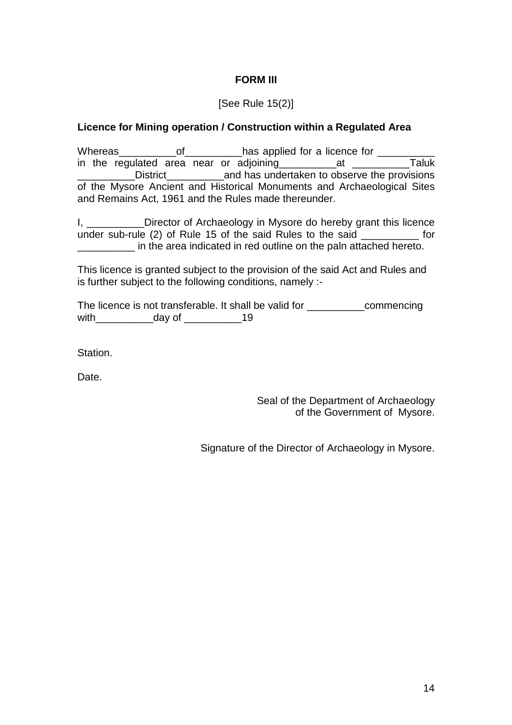## **FORM III**

## [See Rule 15(2)]

### **Licence for Mining operation / Construction within a Regulated Area**

Whereas of thas applied for a licence for in the regulated area near or adjoining\_\_\_\_\_\_\_\_\_\_at \_\_\_\_\_\_\_\_\_\_Taluk District and has undertaken to observe the provisions of the Mysore Ancient and Historical Monuments and Archaeological Sites and Remains Act, 1961 and the Rules made thereunder.

I, \_\_\_\_\_\_\_\_\_\_Director of Archaeology in Mysore do hereby grant this licence under sub-rule (2) of Rule 15 of the said Rules to the said \_\_\_\_\_\_\_\_\_\_ in the area indicated in red outline on the paln attached hereto.

This licence is granted subject to the provision of the said Act and Rules and is further subject to the following conditions, namely :-

The licence is not transferable. It shall be valid for \_\_\_\_\_\_\_\_\_\_commencing with day of 19

Station.

**Date** 

Seal of the Department of Archaeology of the Government of Mysore.

Signature of the Director of Archaeology in Mysore.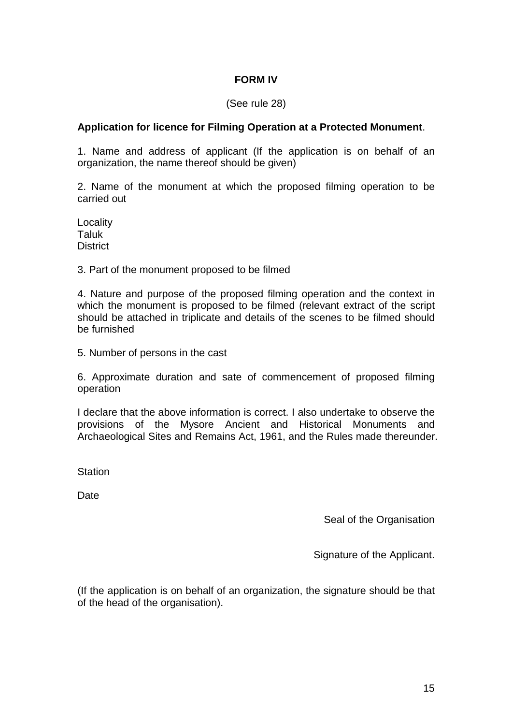### **FORM IV**

#### (See rule 28)

#### **Application for licence for Filming Operation at a Protected Monument**.

1. Name and address of applicant (If the application is on behalf of an organization, the name thereof should be given)

2. Name of the monument at which the proposed filming operation to be carried out

Locality Taluk **District** 

3. Part of the monument proposed to be filmed

4. Nature and purpose of the proposed filming operation and the context in which the monument is proposed to be filmed (relevant extract of the script should be attached in triplicate and details of the scenes to be filmed should be furnished

5. Number of persons in the cast

6. Approximate duration and sate of commencement of proposed filming operation

I declare that the above information is correct. I also undertake to observe the provisions of the Mysore Ancient and Historical Monuments and Archaeological Sites and Remains Act, 1961, and the Rules made thereunder.

**Station** 

**Date** 

Seal of the Organisation

Signature of the Applicant.

(If the application is on behalf of an organization, the signature should be that of the head of the organisation).